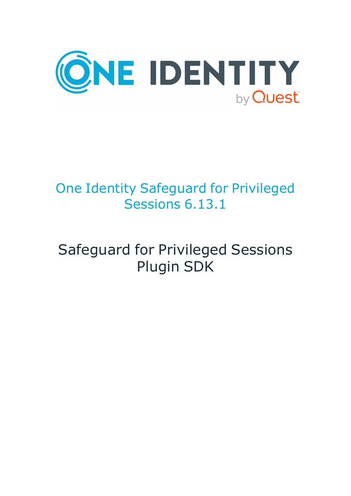

## One Identity Safeguard for Privileged Sessions 6.13.1

# Safeguard for Privileged Sessions Plugin SDK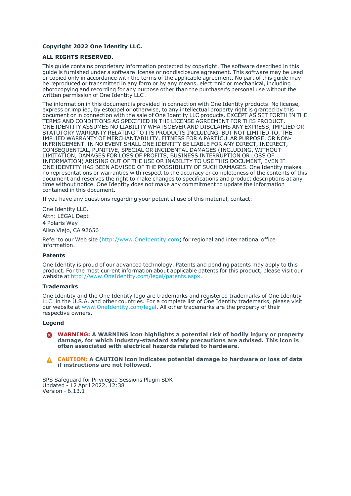#### **Copyright 2022 One Identity LLC.**

#### **ALL RIGHTS RESERVED.**

This guide contains proprietary information protected by copyright. The software described in this guide is furnished under a software license or nondisclosure agreement. This software may be used or copied only in accordance with the terms of the applicable agreement. No part of this guide may be reproduced or transmitted in any form or by any means, electronic or mechanical, including photocopying and recording for any purpose other than the purchaser's personal use without the written permission of One Identity LLC .

The information in this document is provided in connection with One Identity products. No license, express or implied, by estoppel or otherwise, to any intellectual property right is granted by this document or in connection with the sale of One Identity LLC products. EXCEPT AS SET FORTH IN THE TERMS AND CONDITIONS AS SPECIFIED IN THE LICENSE AGREEMENT FOR THIS PRODUCT, ONE IDENTITY ASSUMES NO LIABILITY WHATSOEVER AND DISCLAIMS ANY EXPRESS, IMPLIED OR STATUTORY WARRANTY RELATING TO ITS PRODUCTS INCLUDING, BUT NOT LIMITED TO, THE IMPLIED WARRANTY OF MERCHANTABILITY, FITNESS FOR A PARTICULAR PURPOSE, OR NON-INFRINGEMENT. IN NO EVENT SHALL ONE IDENTITY BE LIABLE FOR ANY DIRECT, INDIRECT, CONSEQUENTIAL, PUNITIVE, SPECIAL OR INCIDENTAL DAMAGES (INCLUDING, WITHOUT LIMITATION, DAMAGES FOR LOSS OF PROFITS, BUSINESS INTERRUPTION OR LOSS OF INFORMATION) ARISING OUT OF THE USE OR INABILITY TO USE THIS DOCUMENT, EVEN IF ONE IDENTITY HAS BEEN ADVISED OF THE POSSIBILITY OF SUCH DAMAGES. One Identity makes no representations or warranties with respect to the accuracy or completeness of the contents of this document and reserves the right to make changes to specifications and product descriptions at any time without notice. One Identity does not make any commitment to update the information contained in this document.

If you have any questions regarding your potential use of this material, contact:

One Identity LLC. Attn: LEGAL Dept 4 Polaris Way Aliso Viejo, CA 92656

Refer to our Web site [\(http://www.OneIdentity.com](http://www.oneidentity.com/)) for regional and international office information.

#### **Patents**

One Identity is proud of our advanced technology. Patents and pending patents may apply to this product. For the most current information about applicable patents for this product, please visit our website at [http://www.OneIdentity.com/legal/patents.aspx.](http://www.oneidentity.com/legal/patents.aspx)

#### **Trademarks**

One Identity and the One Identity logo are trademarks and registered trademarks of One Identity LLC. in the U.S.A. and other countries. For a complete list of One Identity trademarks, please visit our website at [www.OneIdentity.com/legal](http://www.oneidentity.com/legal). All other trademarks are the property of their respective owners.

#### **Legend**

**WARNING: A WARNING icon highlights a potential risk of bodily injury or property** œ **damage, for which industry-standard safety precautions are advised. This icon is often associated with electrical hazards related to hardware.**

**CAUTION: A CAUTION icon indicates potential damage to hardware or loss of data if instructions are not followed.**

SPS Safeguard for Privileged Sessions Plugin SDK Updated - 12 April 2022, 12:38 Version - 6.13.1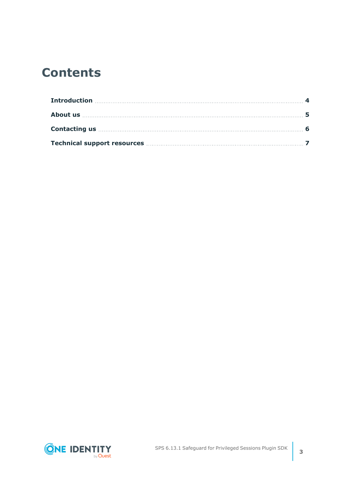### **Contents**

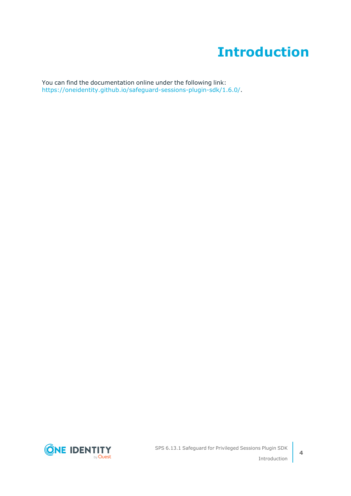### **Introduction**

<span id="page-3-0"></span>You can find the documentation online under the following link: [https://oneidentity.github.io/safeguard-sessions-plugin-sdk/1.6.0/.](https://oneidentity.github.io/safeguard-sessions-plugin-sdk/1.6.0/)

**ONE IDENTITY** by Quest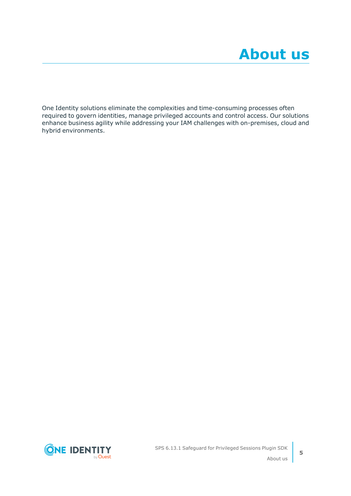<span id="page-4-0"></span>One Identity solutions eliminate the complexities and time-consuming processes often required to govern identities, manage privileged accounts and control access. Our solutions enhance business agility while addressing your IAM challenges with on-premises, cloud and hybrid environments.



**5**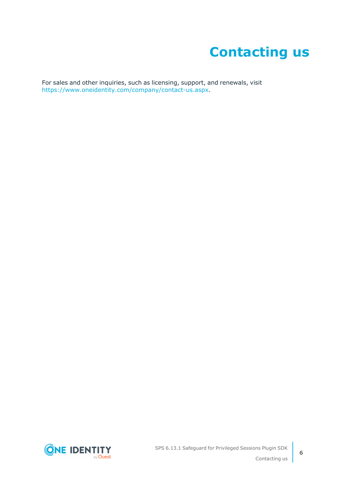### **Contacting us**

<span id="page-5-0"></span>For sales and other inquiries, such as licensing, support, and renewals, visit [https://www.oneidentity.com/company/contact-us.aspx.](https://www.oneidentity.com/company/contact-us.aspx)

**ONE IDENTITY** by **Quest**